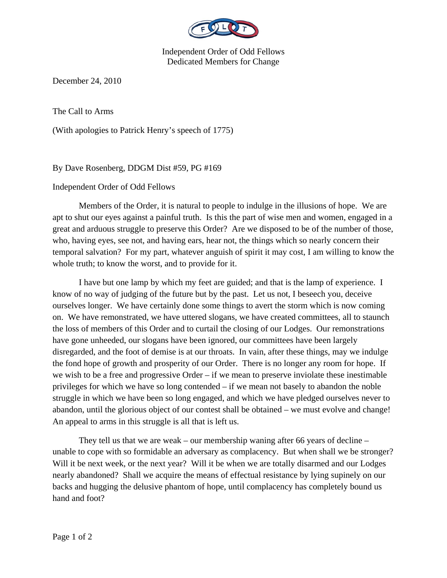

Independent Order of Odd Fellows Dedicated Members for Change

December 24, 2010

The Call to Arms

(With apologies to Patrick Henry's speech of 1775)

By Dave Rosenberg, DDGM Dist #59, PG #169

## Independent Order of Odd Fellows

 Members of the Order, it is natural to people to indulge in the illusions of hope. We are apt to shut our eyes against a painful truth. Is this the part of wise men and women, engaged in a great and arduous struggle to preserve this Order? Are we disposed to be of the number of those, who, having eyes, see not, and having ears, hear not, the things which so nearly concern their temporal salvation? For my part, whatever anguish of spirit it may cost, I am willing to know the whole truth; to know the worst, and to provide for it.

 I have but one lamp by which my feet are guided; and that is the lamp of experience. I know of no way of judging of the future but by the past. Let us not, I beseech you, deceive ourselves longer. We have certainly done some things to avert the storm which is now coming on. We have remonstrated, we have uttered slogans, we have created committees, all to staunch the loss of members of this Order and to curtail the closing of our Lodges. Our remonstrations have gone unheeded, our slogans have been ignored, our committees have been largely disregarded, and the foot of demise is at our throats. In vain, after these things, may we indulge the fond hope of growth and prosperity of our Order. There is no longer any room for hope. If we wish to be a free and progressive Order – if we mean to preserve inviolate these inestimable privileges for which we have so long contended – if we mean not basely to abandon the noble struggle in which we have been so long engaged, and which we have pledged ourselves never to abandon, until the glorious object of our contest shall be obtained – we must evolve and change! An appeal to arms in this struggle is all that is left us.

They tell us that we are weak – our membership waning after 66 years of decline – unable to cope with so formidable an adversary as complacency. But when shall we be stronger? Will it be next week, or the next year? Will it be when we are totally disarmed and our Lodges nearly abandoned? Shall we acquire the means of effectual resistance by lying supinely on our backs and hugging the delusive phantom of hope, until complacency has completely bound us hand and foot?